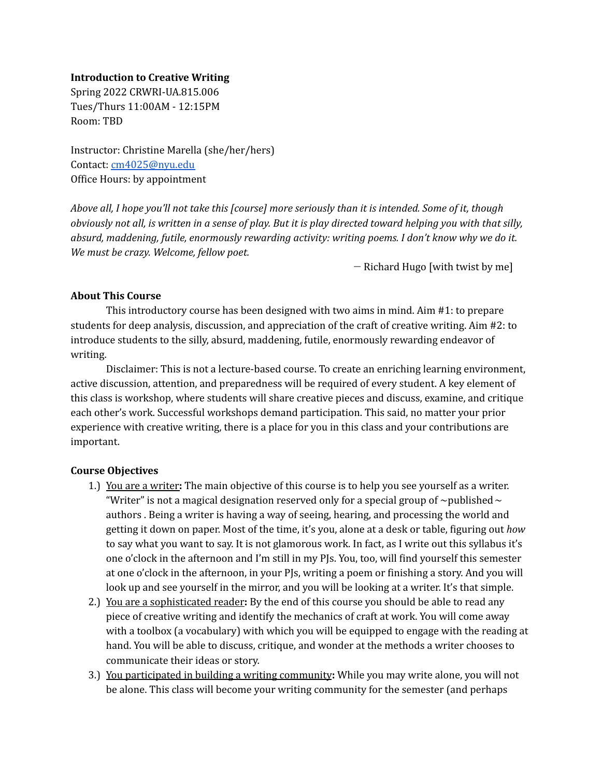#### **Introduction to Creative Writing**

Spring 2022 CRWRI-UA.815.006 Tues/Thurs 11:00AM - 12:15PM Room: TBD

Instructor: Christine Marella (she/her/hers) Contact: [cm4025@nyu.edu](mailto:cm4025@nyu.edu) Office Hours: by appointment

Above all, I hope you'll not take this [course] more seriously than it is intended. Some of it, though obviously not all, is written in a sense of play. But it is play directed toward helping you with that silly, *absurd, maddening, futile, enormously rewarding activity: writing poems. I don't know why we do it. We must be crazy. Welcome, fellow poet.*

— Richard Hugo [with twist by me]

## **About This Course**

This introductory course has been designed with two aims in mind. Aim #1: to prepare students for deep analysis, discussion, and appreciation of the craft of creative writing. Aim #2: to introduce students to the silly, absurd, maddening, futile, enormously rewarding endeavor of writing.

Disclaimer: This is not a lecture-based course. To create an enriching learning environment, active discussion, attention, and preparedness will be required of every student. A key element of this class is workshop, where students will share creative pieces and discuss, examine, and critique each other's work. Successful workshops demand participation. This said, no matter your prior experience with creative writing, there is a place for you in this class and your contributions are important.

## **Course Objectives**

- 1.) You are a writer**:** The main objective of this course is to help you see yourself as a writer. "Writer" is not a magical designation reserved only for a special group of  $\sim$  published  $\sim$ authors . Being a writer is having a way of seeing, hearing, and processing the world and getting it down on paper. Most of the time, it's you, alone at a desk or table, figuring out *how* to say what you want to say. It is not glamorous work. In fact, as I write out this syllabus it's one o'clock in the afternoon and I'm still in my PJs. You, too, will find yourself this semester at one o'clock in the afternoon, in your PJs, writing a poem or finishing a story. And you will look up and see yourself in the mirror, and you will be looking at a writer. It's that simple.
- 2.) You are a sophisticated reader**:** By the end of this course you should be able to read any piece of creative writing and identify the mechanics of craft at work. You will come away with a toolbox (a vocabulary) with which you will be equipped to engage with the reading at hand. You will be able to discuss, critique, and wonder at the methods a writer chooses to communicate their ideas or story.
- 3.) You participated in building a writing community**:** While you may write alone, you will not be alone. This class will become your writing community for the semester (and perhaps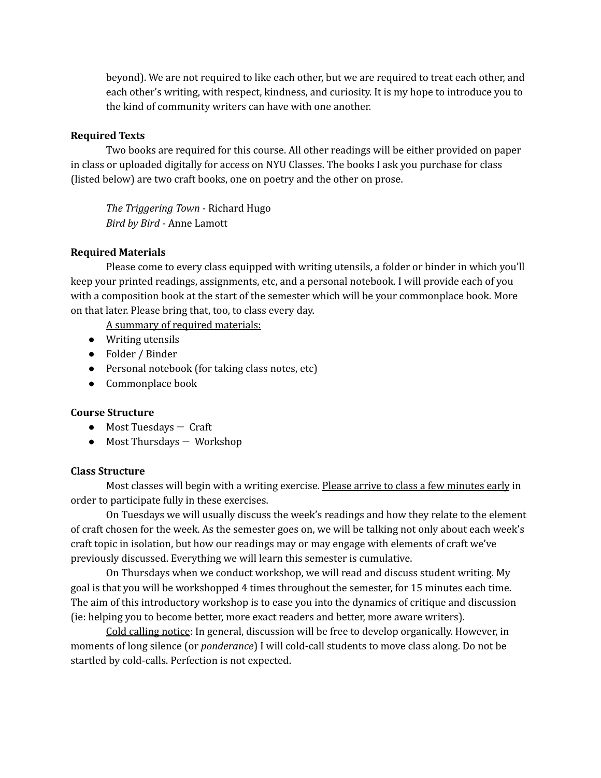beyond). We are not required to like each other, but we are required to treat each other, and each other's writing, with respect, kindness, and curiosity. It is my hope to introduce you to the kind of community writers can have with one another.

### **Required Texts**

Two books are required for this course. All other readings will be either provided on paper in class or uploaded digitally for access on NYU Classes. The books I ask you purchase for class (listed below) are two craft books, one on poetry and the other on prose.

*The Triggering Town -* Richard Hugo *Bird by Bird* - Anne Lamott

## **Required Materials**

Please come to every class equipped with writing utensils, a folder or binder in which you'll keep your printed readings, assignments, etc, and a personal notebook. I will provide each of you with a composition book at the start of the semester which will be your commonplace book. More on that later. Please bring that, too, to class every day.

A summary of required materials:

- Writing utensils
- Folder / Binder
- Personal notebook (for taking class notes, etc)
- Commonplace book

#### **Course Structure**

- $\bullet$  Most Tuesdays  $-$  Craft
- $\bullet$  Most Thursdays  $-$  Workshop

#### **Class Structure**

Most classes will begin with a writing exercise. Please arrive to class a few minutes early in order to participate fully in these exercises.

On Tuesdays we will usually discuss the week's readings and how they relate to the element of craft chosen for the week. As the semester goes on, we will be talking not only about each week's craft topic in isolation, but how our readings may or may engage with elements of craft we've previously discussed. Everything we will learn this semester is cumulative.

On Thursdays when we conduct workshop, we will read and discuss student writing. My goal is that you will be workshopped 4 times throughout the semester, for 15 minutes each time. The aim of this introductory workshop is to ease you into the dynamics of critique and discussion (ie: helping you to become better, more exact readers and better, more aware writers).

Cold calling notice: In general, discussion will be free to develop organically. However, in moments of long silence (or *ponderance*) I will cold-call students to move class along. Do not be startled by cold-calls. Perfection is not expected.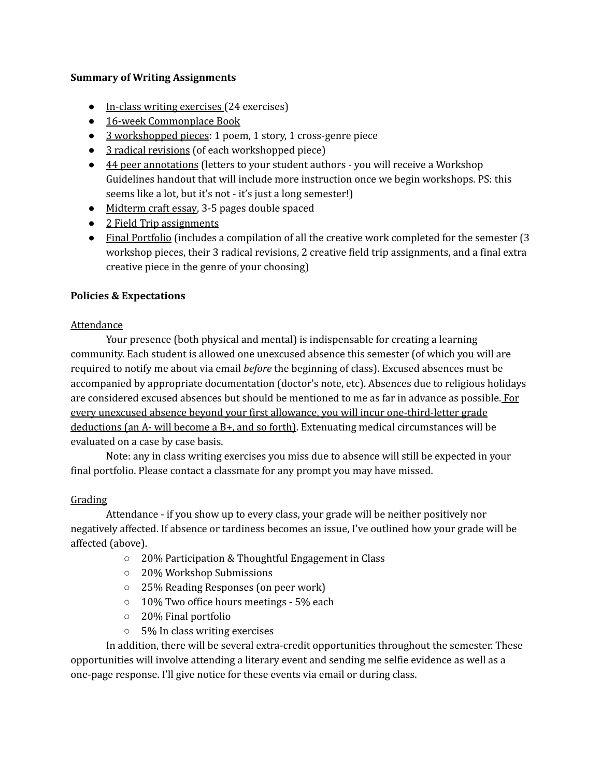## **Summary of Writing Assignments**

- In-class writing exercises (24 exercises)
- 16-week Commonplace Book
- 3 workshopped pieces: 1 poem, 1 story, 1 cross-genre piece
- 3 radical revisions (of each workshopped piece)
- 44 peer annotations (letters to your student authors you will receive a Workshop Guidelines handout that will include more instruction once we begin workshops. PS: this seems like a lot, but it's not - it's just a long semester!)
- Midterm craft essay, 3-5 pages double spaced
- 2 Field Trip assignments
- Final Portfolio (includes a compilation of all the creative work completed for the semester (3 workshop pieces, their 3 radical revisions, 2 creative field trip assignments, and a final extra creative piece in the genre of your choosing)

## **Policies & Expectations**

## Attendance

Your presence (both physical and mental) is indispensable for creating a learning community. Each student is allowed one unexcused absence this semester (of which you will are required to notify me about via email *before* the beginning of class). Excused absences must be accompanied by appropriate documentation (doctor's note, etc). Absences due to religious holidays are considered excused absences but should be mentioned to me as far in advance as possible. For every unexcused absence beyond your first allowance, you will incur one-third-letter grade deductions (an  $A$ - will become a  $B$ +, and so forth). Extenuating medical circumstances will be evaluated on a case by case basis.

Note: any in class writing exercises you miss due to absence will still be expected in your final portfolio. Please contact a classmate for any prompt you may have missed.

## Grading

Attendance - if you show up to every class, your grade will be neither positively nor negatively affected. If absence or tardiness becomes an issue, I've outlined how your grade will be affected (above).

- 20% Participation & Thoughtful Engagement in Class
- 20% Workshop Submissions
- 25% Reading Responses (on peer work)
- 10% Two office hours meetings 5% each
- 20% Final portfolio
- 5% In class writing exercises

In addition, there will be several extra-credit opportunities throughout the semester. These opportunities will involve attending a literary event and sending me selfie evidence as well as a one-page response. I'll give notice for these events via email or during class.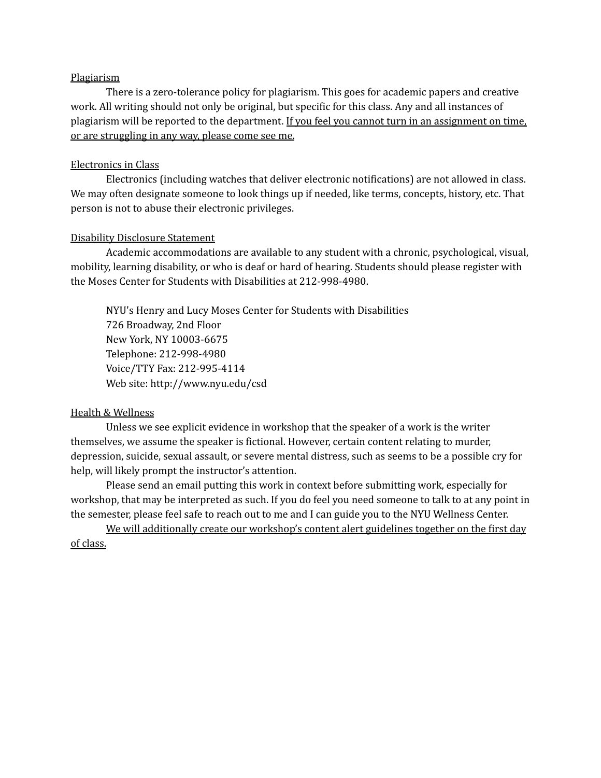#### Plagiarism

There is a zero-tolerance policy for plagiarism. This goes for academic papers and creative work. All writing should not only be original, but specific for this class. Any and all instances of plagiarism will be reported to the department. If you feel you cannot turn in an assignment on time, or are struggling in any way, please come see me.

#### Electronics in Class

Electronics (including watches that deliver electronic notifications) are not allowed in class. We may often designate someone to look things up if needed, like terms, concepts, history, etc. That person is not to abuse their electronic privileges.

### Disability Disclosure Statement

Academic accommodations are available to any student with a chronic, psychological, visual, mobility, learning disability, or who is deaf or hard of hearing. Students should please register with the Moses Center for Students with Disabilities at 212-998-4980.

NYU's Henry and Lucy Moses Center for Students with Disabilities 726 Broadway, 2nd Floor New York, NY 10003-6675 Telephone: 212-998-4980 Voice/TTY Fax: 212-995-4114 Web site: http://www.nyu.edu/csd

#### Health & Wellness

Unless we see explicit evidence in workshop that the speaker of a work is the writer themselves, we assume the speaker is fictional. However, certain content relating to murder, depression, suicide, sexual assault, or severe mental distress, such as seems to be a possible cry for help, will likely prompt the instructor's attention.

Please send an email putting this work in context before submitting work, especially for workshop, that may be interpreted as such. If you do feel you need someone to talk to at any point in the semester, please feel safe to reach out to me and I can guide you to the NYU Wellness Center.

We will additionally create our workshop's content alert guidelines together on the first day of class.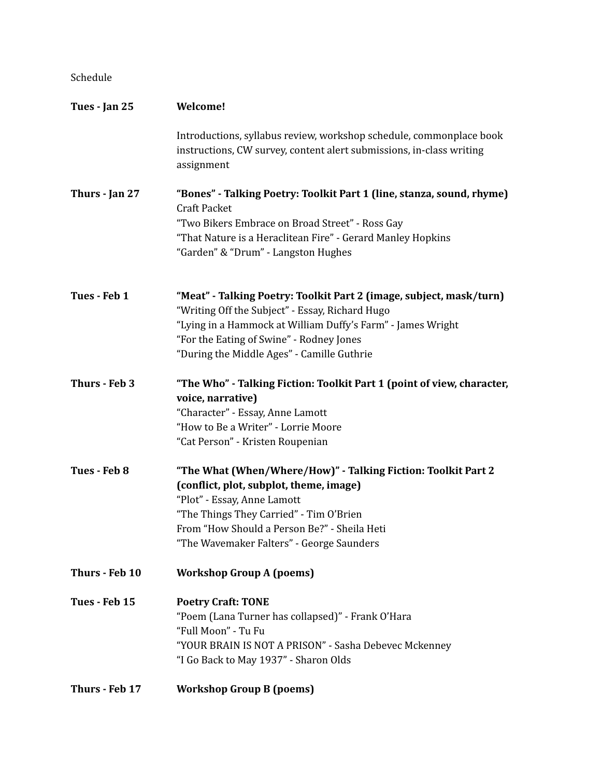## Schedule

| Tues - Jan 25  | Welcome!                                                                                                                                                                                                                                                                        |
|----------------|---------------------------------------------------------------------------------------------------------------------------------------------------------------------------------------------------------------------------------------------------------------------------------|
|                | Introductions, syllabus review, workshop schedule, commonplace book<br>instructions, CW survey, content alert submissions, in-class writing<br>assignment                                                                                                                       |
| Thurs - Jan 27 | "Bones" - Talking Poetry: Toolkit Part 1 (line, stanza, sound, rhyme)<br><b>Craft Packet</b><br>"Two Bikers Embrace on Broad Street" - Ross Gay<br>"That Nature is a Heraclitean Fire" - Gerard Manley Hopkins<br>"Garden" & "Drum" - Langston Hughes                           |
| Tues - Feb 1   | "Meat" - Talking Poetry: Toolkit Part 2 (image, subject, mask/turn)<br>"Writing Off the Subject" - Essay, Richard Hugo<br>"Lying in a Hammock at William Duffy's Farm" - James Wright<br>"For the Eating of Swine" - Rodney Jones<br>"During the Middle Ages" - Camille Guthrie |
| Thurs - Feb 3  | "The Who" - Talking Fiction: Toolkit Part 1 (point of view, character,<br>voice, narrative)<br>"Character" - Essay, Anne Lamott<br>"How to Be a Writer" - Lorrie Moore<br>"Cat Person" - Kristen Roupenian                                                                      |
| Tues - Feb 8   | "The What (When/Where/How)" - Talking Fiction: Toolkit Part 2<br>(conflict, plot, subplot, theme, image)<br>"Plot" - Essay, Anne Lamott<br>"The Things They Carried" - Tim O'Brien<br>From "How Should a Person Be?" - Sheila Heti<br>"The Wavemaker Falters" - George Saunders |
| Thurs - Feb 10 | <b>Workshop Group A (poems)</b>                                                                                                                                                                                                                                                 |
| Tues - Feb 15  | <b>Poetry Craft: TONE</b><br>"Poem (Lana Turner has collapsed)" - Frank O'Hara<br>"Full Moon" - Tu Fu<br>"YOUR BRAIN IS NOT A PRISON" - Sasha Debevec Mckenney<br>"I Go Back to May 1937" - Sharon Olds                                                                         |
| Thurs - Feb 17 | <b>Workshop Group B (poems)</b>                                                                                                                                                                                                                                                 |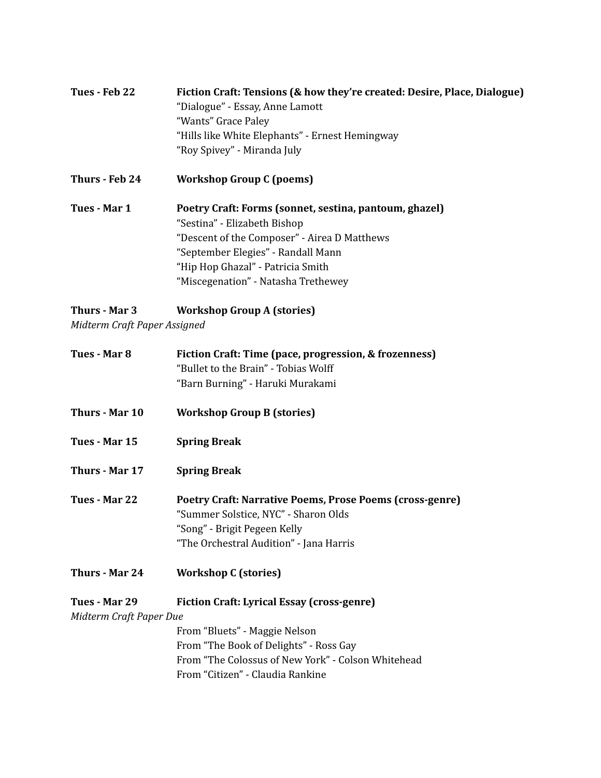| Tues - Feb 22  | Fiction Craft: Tensions (& how they're created: Desire, Place, Dialogue) |
|----------------|--------------------------------------------------------------------------|
|                | "Dialogue" - Essay, Anne Lamott                                          |
|                | "Wants" Grace Paley                                                      |
|                | "Hills like White Elephants" - Ernest Hemingway                          |
|                | "Roy Spivey" - Miranda July                                              |
| Thurs - Feb 24 | <b>Workshop Group C (poems)</b>                                          |
| Tues - Mar 1   | Poetry Craft: Forms (sonnet, sestina, pantoum, ghazel)                   |
|                | "Sestina" - Elizabeth Bishop                                             |
|                | "Descent of the Composer" - Airea D Matthews                             |
|                | "September Elegies" - Randall Mann                                       |
|                | "Hip Hop Ghazal" - Patricia Smith                                        |
|                | "Miscegenation" - Natasha Trethewey                                      |

# **Thurs - Mar 3 Workshop Group A (stories)**

*Midterm Craft Paper Assigned*

| Tues - Mar 8                             | Fiction Craft: Time (pace, progression, & frozenness)<br>"Bullet to the Brain" - Tobias Wolff<br>"Barn Burning" - Haruki Murakami                                                                                      |
|------------------------------------------|------------------------------------------------------------------------------------------------------------------------------------------------------------------------------------------------------------------------|
| Thurs - Mar 10                           | <b>Workshop Group B (stories)</b>                                                                                                                                                                                      |
| Tues - Mar 15                            | <b>Spring Break</b>                                                                                                                                                                                                    |
| Thurs - Mar 17                           | <b>Spring Break</b>                                                                                                                                                                                                    |
| Tues - Mar 22                            | Poetry Craft: Narrative Poems, Prose Poems (cross-genre)<br>"Summer Solstice, NYC" - Sharon Olds<br>"Song" - Brigit Pegeen Kelly<br>"The Orchestral Audition" - Jana Harris                                            |
| Thurs - Mar 24                           | <b>Workshop C (stories)</b>                                                                                                                                                                                            |
| Tues - Mar 29<br>Midterm Craft Paper Due | <b>Fiction Craft: Lyrical Essay (cross-genre)</b><br>From "Bluets" - Maggie Nelson<br>From "The Book of Delights" - Ross Gay<br>From "The Colossus of New York" - Colson Whitehead<br>From "Citizen" - Claudia Rankine |
|                                          |                                                                                                                                                                                                                        |